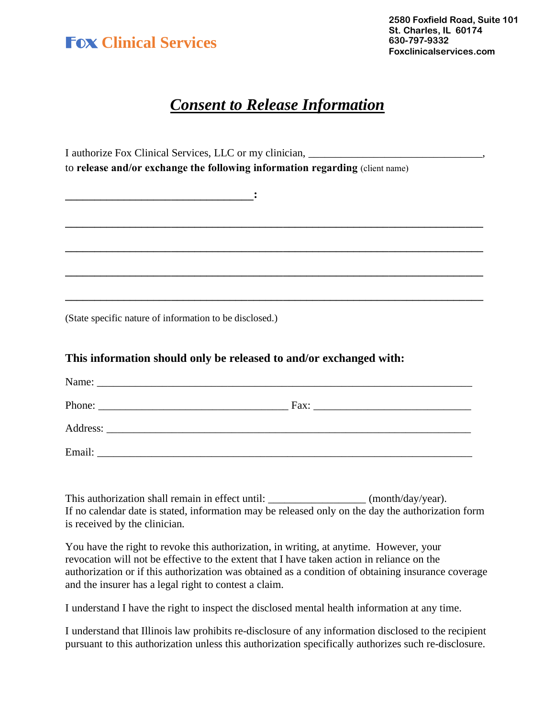

## *Consent to Release Information*

I authorize Fox Clinical Services, LLC or my clinician, \_\_\_\_\_\_\_\_\_\_\_\_\_\_\_\_\_\_\_\_\_\_\_\_\_\_\_\_\_\_\_\_, to **release and/or exchange the following information regarding** (client name) **\_\_\_\_\_\_\_\_\_\_\_\_\_\_\_\_\_\_\_\_\_\_\_\_\_\_\_\_\_\_\_\_: \_\_\_\_\_\_\_\_\_\_\_\_\_\_\_\_\_\_\_\_\_\_\_\_\_\_\_\_\_\_\_\_\_\_\_\_\_\_\_\_\_\_\_\_\_\_\_\_\_\_\_\_\_\_\_\_\_\_\_\_\_\_\_\_\_\_\_\_\_\_\_ \_\_\_\_\_\_\_\_\_\_\_\_\_\_\_\_\_\_\_\_\_\_\_\_\_\_\_\_\_\_\_\_\_\_\_\_\_\_\_\_\_\_\_\_\_\_\_\_\_\_\_\_\_\_\_\_\_\_\_\_\_\_\_\_\_\_\_\_\_\_\_ \_\_\_\_\_\_\_\_\_\_\_\_\_\_\_\_\_\_\_\_\_\_\_\_\_\_\_\_\_\_\_\_\_\_\_\_\_\_\_\_\_\_\_\_\_\_\_\_\_\_\_\_\_\_\_\_\_\_\_\_\_\_\_\_\_\_\_\_\_\_\_ \_\_\_\_\_\_\_\_\_\_\_\_\_\_\_\_\_\_\_\_\_\_\_\_\_\_\_\_\_\_\_\_\_\_\_\_\_\_\_\_\_\_\_\_\_\_\_\_\_\_\_\_\_\_\_\_\_\_\_\_\_\_\_\_\_\_\_\_\_\_\_** (State specific nature of information to be disclosed.)

## **This information should only be released to and/or exchanged with:**

|        | Fax: |
|--------|------|
|        |      |
| Email: |      |

This authorization shall remain in effect until: \_\_\_\_\_\_\_\_\_\_\_\_\_\_\_\_\_\_\_\_\_\_ (month/day/year). If no calendar date is stated, information may be released only on the day the authorization form is received by the clinician.

You have the right to revoke this authorization, in writing, at anytime. However, your revocation will not be effective to the extent that I have taken action in reliance on the authorization or if this authorization was obtained as a condition of obtaining insurance coverage and the insurer has a legal right to contest a claim.

I understand I have the right to inspect the disclosed mental health information at any time.

I understand that Illinois law prohibits re-disclosure of any information disclosed to the recipient pursuant to this authorization unless this authorization specifically authorizes such re-disclosure.